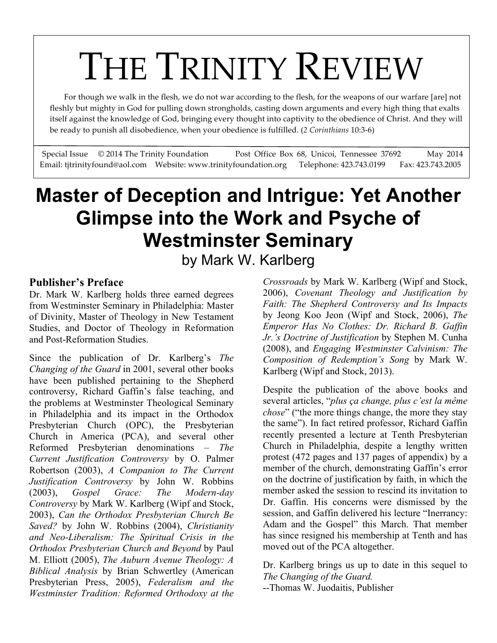# For though we walk in the flesh, we do not war according to the flesh, for the weapons of our warfare [are] not

 fleshly but mighty in God for pulling down strongholds, casting down arguments and every high thing that exalts itself against the knowledge of God, bringing every thought into captivity to the obedience of Christ. And they will be ready to punish all disobedience, when your obedience is fulfilled. (*2 Corinthians* 10:3-6)

Special Issue © 2014 The Trinity Foundation Post Office Box 68, Unicoi, Tennessee 37692 May 2014 Email: tjtrinityfound@aol.com Website: www.trinityfoundation.org Telephone: 423.743.0199 Fax: 423.743.2005

## **Master of Deception and Intrigue: Yet Another Glimpse into the Work and Psyche of Westminster Seminary**

by Mark W. Karlberg

#### **Publisher's Preface**

Dr. Mark W. Karlberg holds three earned degrees from Westminster Seminary in Philadelphia: Master of Divinity, Master of Theology in New Testament Studies, and Doctor of Theology in Reformation and Post-Reformation Studies.

Since the publication of Dr. Karlberg's *The Changing of the Guard* in 2001, several other books have been published pertaining to the Shepherd controversy, Richard Gaffin's false teaching, and the problems at Westminster Theological Seminary in Philadelphia and its impact in the Orthodox Presbyterian Church (OPC), the Presbyterian Church in America (PCA), and several other Reformed Presbyterian denominations – *The Current Justification Controversy* by O. Palmer Robertson (2003), *A Companion to The Current Justification Controversy* by John W. Robbins (2003), *Gospel Grace: The Modern-day Controversy* by Mark W. Karlberg (Wipf and Stock, 2003), *Can the Orthodox Presbyterian Church Be Saved?* by John W. Robbins (2004), *Christianity and Neo-Liberalism: The Spiritual Crisis in the Orthodox Presbyterian Church and Beyond* by Paul M. Elliott (2005), *The Auburn Avenue Theology: A Biblical Analysis* by Brian Schwertley (American Presbyterian Press, 2005), *Federalism and the Westminster Tradition: Reformed Orthodoxy at the* 

*Crossroads* by Mark W. Karlberg (Wipf and Stock, 2006), *Covenant Theology and Justification by Faith: The Shepherd Controversy and Its Impacts*  by Jeong Koo Jeon (Wipf and Stock, 2006), *The Emperor Has No Clothes: Dr. Richard B. Gaffin Jr.'s Doctrine of Justification* by Stephen M. Cunha (2008), and *Engaging Westminster Calvinism: The Composition of Redemption's Song* by Mark W. Karlberg (Wipf and Stock, 2013).

Despite the publication of the above books and several articles, "*plus ça change, plus c'est la même chose*" ("the more things change, the more they stay the same"). In fact retired professor, Richard Gaffin recently presented a lecture at Tenth Presbyterian Church in Philadelphia, despite a lengthy written protest (472 pages and 137 pages of appendix) by a member of the church, demonstrating Gaffin's error on the doctrine of justification by faith, in which the member asked the session to rescind its invitation to Dr. Gaffin. His concerns were dismissed by the session, and Gaffin delivered his lecture "Inerrancy: Adam and the Gospel" this March. That member has since resigned his membership at Tenth and has moved out of the PCA altogether.

Dr. Karlberg brings us up to date in this sequel to *The Changing of the Guard.*

--Thomas W. Juodaitis, Publisher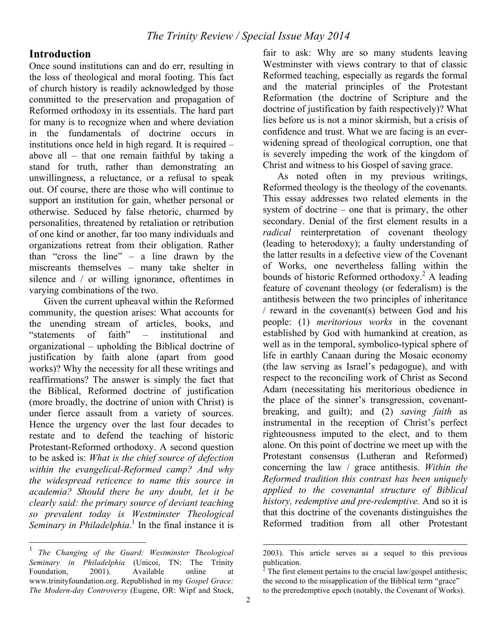#### **Introduction**

Once sound institutions can and do err, resulting in the loss of theological and moral footing. This fact of church history is readily acknowledged by those committed to the preservation and propagation of Reformed orthodoxy in its essentials. The hard part for many is to recognize when and where deviation in the fundamentals of doctrine occurs in institutions once held in high regard. It is required – above all – that one remain faithful by taking a stand for truth, rather than demonstrating an unwillingness, a reluctance, or a refusal to speak out. Of course, there are those who will continue to support an institution for gain, whether personal or otherwise. Seduced by false rhetoric, charmed by personalities, threatened by retaliation or retribution of one kind or another, far too many individuals and organizations retreat from their obligation. Rather than "cross the line" – a line drawn by the miscreants themselves – many take shelter in silence and / or willing ignorance, oftentimes in varying combinations of the two.

Given the current upheaval within the Reformed community, the question arises: What accounts for the unending stream of articles, books, and "statements of faith" – institutional and organizational – upholding the Biblical doctrine of justification by faith alone (apart from good works)? Why the necessity for all these writings and reaffirmations? The answer is simply the fact that the Biblical, Reformed doctrine of justification (more broadly, the doctrine of union with Christ) is under fierce assault from a variety of sources. Hence the urgency over the last four decades to restate and to defend the teaching of historic Protestant-Reformed orthodoxy. A second question to be asked is: *What is the chief source of defection within the evangelical-Reformed camp? And why the widespread reticence to name this source in academia? Should there be any doubt, let it be clearly said: the primary source of deviant teaching so prevalent today is Westminster Theological*  Seminary in Philadelphia.<sup>1</sup> In the final instance it is

fair to ask: Why are so many students leaving Westminster with views contrary to that of classic Reformed teaching, especially as regards the formal and the material principles of the Protestant Reformation (the doctrine of Scripture and the doctrine of justification by faith respectively)? What lies before us is not a minor skirmish, but a crisis of confidence and trust. What we are facing is an everwidening spread of theological corruption, one that is severely impeding the work of the kingdom of Christ and witness to his Gospel of saving grace.

As noted often in my previous writings, Reformed theology is the theology of the covenants. This essay addresses two related elements in the system of doctrine – one that is primary, the other secondary. Denial of the first element results in a *radical* reinterpretation of covenant theology (leading to heterodoxy); a faulty understanding of the latter results in a defective view of the Covenant of Works, one nevertheless falling within the bounds of historic Reformed orthodoxy.<sup>2</sup> A leading feature of covenant theology (or federalism) is the antithesis between the two principles of inheritance / reward in the covenant(s) between God and his people: (1) *meritorious works* in the covenant established by God with humankind at creation, as well as in the temporal, symbolico-typical sphere of life in earthly Canaan during the Mosaic economy (the law serving as Israel's pedagogue), and with respect to the reconciling work of Christ as Second Adam (necessitating his meritorious obedience in the place of the sinner's transgression, covenantbreaking, and guilt); and (2) *saving faith* as instrumental in the reception of Christ's perfect righteousness imputed to the elect, and to them alone. On this point of doctrine we meet up with the Protestant consensus (Lutheran and Reformed) concerning the law / grace antithesis. *Within the Reformed tradition this contrast has been uniquely applied to the covenantal structure of Biblical history, redemptive and pre-redemptive.* And so it is that this doctrine of the covenants distinguishes the Reformed tradition from all other Protestant

 $\overline{a}$ 

 <sup>1</sup> *The Changing of the Guard: Westminster Theological Seminary in Philadelphia* (Unicoi, TN: The Trinity Foundation, 2001). Available online at www.trinityfoundation.org. Republished in my *Gospel Grace: The Modern-day Controversy* (Eugene, OR: Wipf and Stock,

<sup>2003).</sup> This article serves as a sequel to this previous  $\frac{1}{2}$  publication.

The first element pertains to the crucial law/gospel antithesis: the second to the misapplication of the Biblical term "grace" to the preredemptive epoch (notably, the Covenant of Works).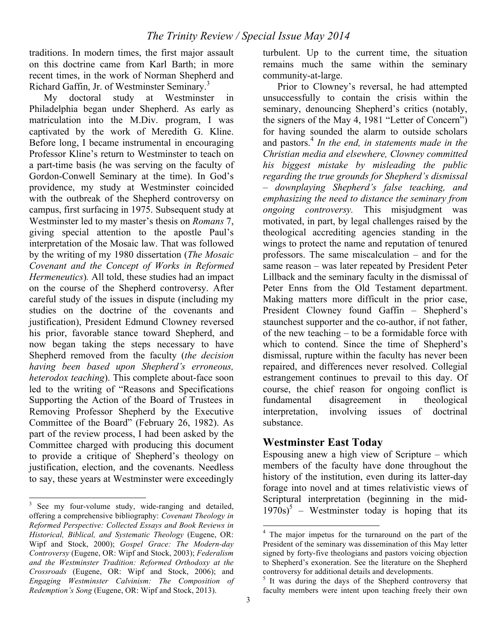traditions. In modern times, the first major assault on this doctrine came from Karl Barth; in more recent times, in the work of Norman Shepherd and Richard Gaffin, Jr. of Westminster Seminary.<sup>3</sup>

My doctoral study at Westminster in Philadelphia began under Shepherd. As early as matriculation into the M.Div. program, I was captivated by the work of Meredith G. Kline. Before long, I became instrumental in encouraging Professor Kline's return to Westminster to teach on a part-time basis (he was serving on the faculty of Gordon-Conwell Seminary at the time). In God's providence, my study at Westminster coincided with the outbreak of the Shepherd controversy on campus, first surfacing in 1975. Subsequent study at Westminster led to my master's thesis on *Romans* 7, giving special attention to the apostle Paul's interpretation of the Mosaic law. That was followed by the writing of my 1980 dissertation (*The Mosaic Covenant and the Concept of Works in Reformed Hermeneutics*)*.* All told, these studies had an impact on the course of the Shepherd controversy. After careful study of the issues in dispute (including my studies on the doctrine of the covenants and justification), President Edmund Clowney reversed his prior, favorable stance toward Shepherd, and now began taking the steps necessary to have Shepherd removed from the faculty (*the decision having been based upon Shepherd's erroneous, heterodox teaching*). This complete about-face soon led to the writing of "Reasons and Specifications Supporting the Action of the Board of Trustees in Removing Professor Shepherd by the Executive Committee of the Board" (February 26, 1982). As part of the review process, I had been asked by the Committee charged with producing this document to provide a critique of Shepherd's theology on justification, election, and the covenants. Needless to say, these years at Westminster were exceedingly

turbulent. Up to the current time, the situation remains much the same within the seminary community-at-large.

Prior to Clowney's reversal, he had attempted unsuccessfully to contain the crisis within the seminary, denouncing Shepherd's critics (notably, the signers of the May 4, 1981 "Letter of Concern") for having sounded the alarm to outside scholars and pastors.4 *In the end, in statements made in the Christian media and elsewhere, Clowney committed his biggest mistake by misleading the public regarding the true grounds for Shepherd's dismissal – downplaying Shepherd's false teaching, and emphasizing the need to distance the seminary from ongoing controversy.* This misjudgment was motivated, in part, by legal challenges raised by the theological accrediting agencies standing in the wings to protect the name and reputation of tenured professors. The same miscalculation – and for the same reason – was later repeated by President Peter Lillback and the seminary faculty in the dismissal of Peter Enns from the Old Testament department. Making matters more difficult in the prior case, President Clowney found Gaffin – Shepherd's staunchest supporter and the co-author, if not father, of the new teaching – to be a formidable force with which to contend. Since the time of Shepherd's dismissal, rupture within the faculty has never been repaired, and differences never resolved. Collegial estrangement continues to prevail to this day. Of course, the chief reason for ongoing conflict is fundamental disagreement in theological interpretation, involving issues of doctrinal substance.

#### **Westminster East Today**

Espousing anew a high view of Scripture – which members of the faculty have done throughout the history of the institution, even during its latter-day forage into novel and at times relativistic views of Scriptural interpretation (beginning in the mid- $1970s$ <sup>5</sup> – Westminster today is hoping that its

<sup>&</sup>lt;sup>3</sup> See my four-volume study, wide-ranging and detailed, offering a comprehensive bibliography: *Covenant Theology in Reformed Perspective: Collected Essays and Book Reviews in Historical, Biblical, and Systematic Theology* (Eugene, OR: Wipf and Stock, 2000); *Gospel Grace: The Modern-day Controversy* (Eugene, OR: Wipf and Stock, 2003); *Federalism and the Westminster Tradition: Reformed Orthodoxy at the Crossroads* (Eugene, OR: Wipf and Stock, 2006); and *Engaging Westminster Calvinism: The Composition of Redemption's Song* (Eugene, OR: Wipf and Stock, 2013).

 <sup>4</sup> The major impetus for the turnaround on the part of the President of the seminary was dissemination of this May letter signed by forty-five theologians and pastors voicing objection to Shepherd's exoneration. See the literature on the Shepherd controversy for additional details and developments.

 $<sup>5</sup>$  It was during the days of the Shepherd controversy that</sup> faculty members were intent upon teaching freely their own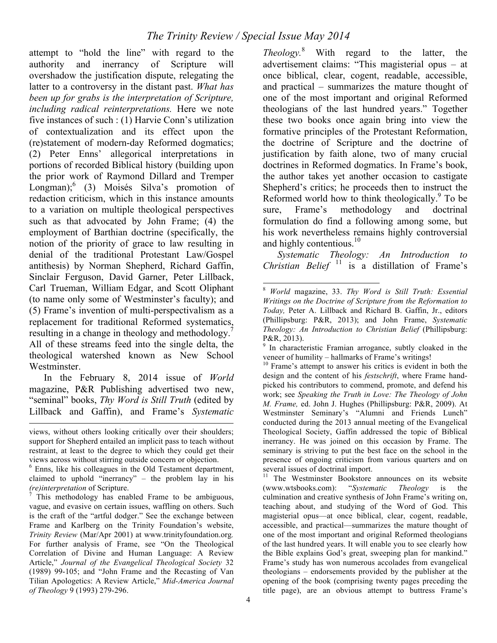attempt to "hold the line" with regard to the authority and inerrancy of Scripture will overshadow the justification dispute, relegating the latter to a controversy in the distant past. *What has been up for grabs is the interpretation of Scripture, including radical reinterpretations.* Here we note five instances of such : (1) Harvie Conn's utilization of contextualization and its effect upon the (re)statement of modern-day Reformed dogmatics; (2) Peter Enns' allegorical interpretations in portions of recorded Biblical history (building upon the prior work of Raymond Dillard and Tremper Longman);<sup>6</sup> (3) Moisés Silva's promotion of redaction criticism, which in this instance amounts to a variation on multiple theological perspectives such as that advocated by John Frame; (4) the employment of Barthian doctrine (specifically, the notion of the priority of grace to law resulting in denial of the traditional Protestant Law/Gospel antithesis) by Norman Shepherd, Richard Gaffin, Sinclair Ferguson, David Garner, Peter Lillback, Carl Trueman, William Edgar, and Scott Oliphant (to name only some of Westminster's faculty); and (5) Frame's invention of multi-perspectivalism as a replacement for traditional Reformed systematics, resulting in a change in theology and methodology.<sup>7</sup> All of these streams feed into the single delta, the theological watershed known as New School Westminster.

In the February 8, 2014 issue of *World*  magazine, P&R Publishing advertised two new, "seminal" books, *Thy Word is Still Truth* (edited by Lillback and Gaffin), and Frame's *Systematic* 

 $\overline{a}$ 

*Theology.*<sup>8</sup> With regard to the latter, the advertisement claims: "This magisterial opus – at once biblical, clear, cogent, readable, accessible, and practical – summarizes the mature thought of one of the most important and original Reformed theologians of the last hundred years." Together these two books once again bring into view the formative principles of the Protestant Reformation, the doctrine of Scripture and the doctrine of justification by faith alone, two of many crucial doctrines in Reformed dogmatics. In Frame's book, the author takes yet another occasion to castigate Shepherd's critics; he proceeds then to instruct the Reformed world how to think theologically. $9$  To be sure, Frame's methodology and doctrinal formulation do find a following among some, but his work nevertheless remains highly controversial and highly contentious.<sup>10</sup>

*Systematic Theology: An Introduction to Christian Belief*  $\frac{11}{11}$  is a distillation of Frame's

<sup>11</sup> The Westminster Bookstore announces on its website (www.wtsbooks.com): "*Systematic Theology* is the culmination and creative synthesis of John Frame's writing on, teaching about, and studying of the Word of God. This magisterial opus—at once biblical, clear, cogent, readable, accessible, and practical—summarizes the mature thought of one of the most important and original Reformed theologians of the last hundred years. It will enable you to see clearly how the Bible explains God's great, sweeping plan for mankind." Frame's study has won numerous accolades from evangelical theologians – endorsements provided by the publisher at the opening of the book (comprising twenty pages preceding the title page), are an obvious attempt to buttress Frame's

views, without others looking critically over their shoulders; support for Shepherd entailed an implicit pass to teach without restraint, at least to the degree to which they could get their views across without stirring outside concern or objection. <sup>6</sup> Enns, like his colleagues in the Old Testament department,

claimed to uphold "inerrancy" – the problem lay in his *(re)interpretation* of Scripture.<br><sup>7</sup> This methodology has enabled Frame to be ambiguous.

vague, and evasive on certain issues, waffling on others. Such is the craft of the "artful dodger." See the exchange between Frame and Karlberg on the Trinity Foundation's website, *Trinity Review* (Mar/Apr 2001) at www.trinityfoundation.org*.*  For further analysis of Frame, see "On the Theological Correlation of Divine and Human Language: A Review Article," *Journal of the Evangelical Theological Society* 32 (1989) 99-105; and "John Frame and the Recasting of Van Tilian Apologetics: A Review Article," *Mid-America Journal of Theology* 9 (1993) 279-296.

 <sup>8</sup> *World* magazine, 33. *Thy Word is Still Truth: Essential Writings on the Doctrine of Scripture from the Reformation to Today,* Peter A. Lillback and Richard B. Gaffin, Jr., editors (Phillipsburg: P&R, 2013); and John Frame, *Systematic Theology: An Introduction to Christian Belief (Phillipsburg:* P&R, 2013).

 $9$  In characteristic Framian arrogance, subtly cloaked in the veneer of humility – hallmarks of Frame's writings!

 $10$  Frame's attempt to answer his critics is evident in both the design and the content of his *festschrift*, where Frame handpicked his contributors to commend, promote, and defend his work; see *Speaking the Truth in Love: The Theology of John M. Frame,* ed. John J. Hughes (Phillipsburg: P&R, 2009). At Westminster Seminary's "Alumni and Friends Lunch" conducted during the 2013 annual meeting of the Evangelical Theological Society, Gaffin addressed the topic of Biblical inerrancy. He was joined on this occasion by Frame. The seminary is striving to put the best face on the school in the presence of ongoing criticism from various quarters and on several issues of doctrinal import.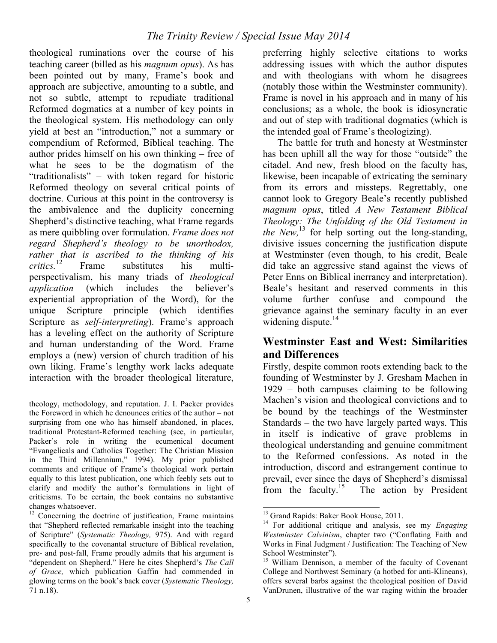theological ruminations over the course of his teaching career (billed as his *magnum opus*). As has been pointed out by many, Frame's book and approach are subjective, amounting to a subtle, and not so subtle, attempt to repudiate traditional Reformed dogmatics at a number of key points in the theological system. His methodology can only yield at best an "introduction," not a summary or compendium of Reformed, Biblical teaching. The author prides himself on his own thinking – free of what he sees to be the dogmatism of the "traditionalists" – with token regard for historic Reformed theology on several critical points of doctrine. Curious at this point in the controversy is the ambivalence and the duplicity concerning Shepherd's distinctive teaching, what Frame regards as mere quibbling over formulation. *Frame does not regard Shepherd's theology to be unorthodox, rather that is ascribed to the thinking of his*  Frame substitutes his multiperspectivalism, his many triads of *theological application* (which includes the believer's experiential appropriation of the Word), for the unique Scripture principle (which identifies Scripture as *self-interpreting*). Frame's approach has a leveling effect on the authority of Scripture and human understanding of the Word. Frame employs a (new) version of church tradition of his own liking. Frame's lengthy work lacks adequate interaction with the broader theological literature,

preferring highly selective citations to works addressing issues with which the author disputes and with theologians with whom he disagrees (notably those within the Westminster community). Frame is novel in his approach and in many of his conclusions; as a whole, the book is idiosyncratic and out of step with traditional dogmatics (which is the intended goal of Frame's theologizing).

The battle for truth and honesty at Westminster has been uphill all the way for those "outside" the citadel. And new, fresh blood on the faculty has, likewise, been incapable of extricating the seminary from its errors and missteps. Regrettably, one cannot look to Gregory Beale's recently published *magnum opus*, titled *A New Testament Biblical Theology: The Unfolding of the Old Testament in the New*,<sup>13</sup> for help sorting out the long-standing, divisive issues concerning the justification dispute at Westminster (even though, to his credit, Beale did take an aggressive stand against the views of Peter Enns on Biblical inerrancy and interpretation). Beale's hesitant and reserved comments in this volume further confuse and compound the grievance against the seminary faculty in an ever widening dispute. $14$ 

#### **Westminster East and West: Similarities and Differences**

Firstly, despite common roots extending back to the founding of Westminster by J. Gresham Machen in 1929 – both campuses claiming to be following Machen's vision and theological convictions and to be bound by the teachings of the Westminster Standards – the two have largely parted ways. This in itself is indicative of grave problems in theological understanding and genuine commitment to the Reformed confessions. As noted in the introduction, discord and estrangement continue to prevail, ever since the days of Shepherd's dismissal<br>from the faculty.<sup>15</sup> The action by President The action by President

 $\overline{a}$ theology, methodology, and reputation. J. I. Packer provides the Foreword in which he denounces critics of the author – not surprising from one who has himself abandoned, in places, traditional Protestant-Reformed teaching (see, in particular, Packer's role in writing the ecumenical document "Evangelicals and Catholics Together: The Christian Mission in the Third Millennium," 1994). My prior published comments and critique of Frame's theological work pertain equally to this latest publication, one which feebly sets out to clarify and modify the author's formulations in light of criticisms. To be certain, the book contains no substantive changes whatsoever.

 $12$  Concerning the doctrine of justification, Frame maintains that "Shepherd reflected remarkable insight into the teaching of Scripture" (*Systematic Theology,* 975). And with regard specifically to the covenantal structure of Biblical revelation, pre- and post-fall, Frame proudly admits that his argument is "dependent on Shepherd." Here he cites Shepherd's *The Call of Grace,* which publication Gaffin had commended in glowing terms on the book's back cover (*Systematic Theology,*  71 n.18).

<sup>&</sup>lt;sup>13</sup> Grand Rapids: Baker Book House, 2011.<br><sup>14</sup> For additional critique and analysis, see my *Engaging Westminster Calvinism*, chapter two ("Conflating Faith and Works in Final Judgment / Justification: The Teaching of New School Westminster").

<sup>&</sup>lt;sup>15</sup> William Dennison, a member of the faculty of Covenant College and Northwest Seminary (a hotbed for anti-Klineans), offers several barbs against the theological position of David VanDrunen, illustrative of the war raging within the broader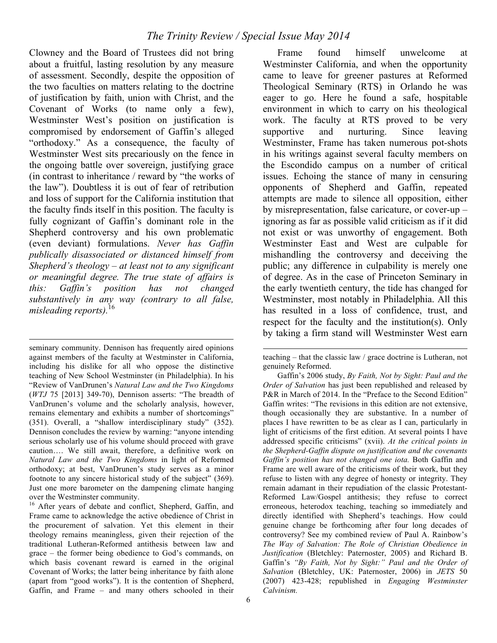Clowney and the Board of Trustees did not bring about a fruitful, lasting resolution by any measure of assessment. Secondly, despite the opposition of the two faculties on matters relating to the doctrine of justification by faith, union with Christ, and the Covenant of Works (to name only a few), Westminster West's position on justification is compromised by endorsement of Gaffin's alleged "orthodoxy." As a consequence, the faculty of Westminster West sits precariously on the fence in the ongoing battle over sovereign, justifying grace (in contrast to inheritance / reward by "the works of the law"). Doubtless it is out of fear of retribution and loss of support for the California institution that the faculty finds itself in this position. The faculty is fully cognizant of Gaffin's dominant role in the Shepherd controversy and his own problematic (even deviant) formulations. *Never has Gaffin publically disassociated or distanced himself from Shepherd's theology – at least not to any significant or meaningful degree. The true state of affairs is this: Gaffin's position has not changed substantively in any way (contrary to all false, misleading reports).*<sup>16</sup>

seminary community. Dennison has frequently aired opinions against members of the faculty at Westminster in California, including his dislike for all who oppose the distinctive teaching of New School Westminster (in Philadelphia). In his "Review of VanDrunen's *Natural Law and the Two Kingdoms*  (*WTJ* 75 [2013] 349-70), Dennison asserts: "The breadth of VanDrunen's volume and the scholarly analysis, however, remains elementary and exhibits a number of shortcomings" (351). Overall, a "shallow interdisciplinary study" (352). Dennison concludes the review by warning: "anyone intending serious scholarly use of his volume should proceed with grave caution…. We still await, therefore, a definitive work on *Natural Law and the Two Kingdoms* in light of Reformed orthodoxy; at best, VanDrunen's study serves as a minor footnote to any sincere historical study of the subject" (369). Just one more barometer on the dampening climate hanging over the Westminster community.

 $\overline{a}$ 

<sup>16</sup> After years of debate and conflict, Shepherd, Gaffin, and Frame came to acknowledge the active obedience of Christ in the procurement of salvation. Yet this element in their theology remains meaningless, given their rejection of the traditional Lutheran-Reformed antithesis between law and grace – the former being obedience to God's commands, on which basis covenant reward is earned in the original Covenant of Works; the latter being inheritance by faith alone (apart from "good works"). It is the contention of Shepherd, Gaffin, and Frame – and many others schooled in their

Frame found himself unwelcome at Westminster California, and when the opportunity came to leave for greener pastures at Reformed Theological Seminary (RTS) in Orlando he was eager to go. Here he found a safe, hospitable environment in which to carry on his theological work. The faculty at RTS proved to be very supportive and nurturing. Since leaving Westminster, Frame has taken numerous pot-shots in his writings against several faculty members on the Escondido campus on a number of critical issues. Echoing the stance of many in censuring opponents of Shepherd and Gaffin, repeated attempts are made to silence all opposition, either by misrepresentation, false caricature, or cover-up – ignoring as far as possible valid criticism as if it did not exist or was unworthy of engagement. Both Westminster East and West are culpable for mishandling the controversy and deceiving the public; any difference in culpability is merely one of degree. As in the case of Princeton Seminary in the early twentieth century, the tide has changed for Westminster, most notably in Philadelphia. All this has resulted in a loss of confidence, trust, and respect for the faculty and the institution(s). Only by taking a firm stand will Westminster West earn

 $\overline{a}$ 

teaching – that the classic law / grace doctrine is Lutheran, not genuinely Reformed.

Gaffin's 2006 study, *By Faith, Not by Sight: Paul and the Order of Salvation* has just been republished and released by P&R in March of 2014. In the "Preface to the Second Edition" Gaffin writes: "The revisions in this edition are not extensive, though occasionally they are substantive. In a number of places I have rewritten to be as clear as I can, particularly in light of criticisms of the first edition. At several points I have addressed specific criticisms" (xvii). *At the critical points in the Shepherd-Gaffin dispute on justification and the covenants Gaffin's position has not changed one iota.* Both Gaffin and Frame are well aware of the criticisms of their work, but they refuse to listen with any degree of honesty or integrity. They remain adamant in their repudiation of the classic Protestant-Reformed Law/Gospel antithesis; they refuse to correct erroneous, heterodox teaching, teaching so immediately and directly identified with Shepherd's teachings. How could genuine change be forthcoming after four long decades of controversy? See my combined review of Paul A. Rainbow's *The Way of Salvation: The Role of Christian Obedience in Justification* (Bletchley: Paternoster, 2005) and Richard B. Gaffin's *"By Faith, Not by Sight:" Paul and the Order of Salvation* (Bletchley, UK: Paternoster, 2006) in *JETS* 50 (2007) 423-428; republished in *Engaging Westminster Calvinism.*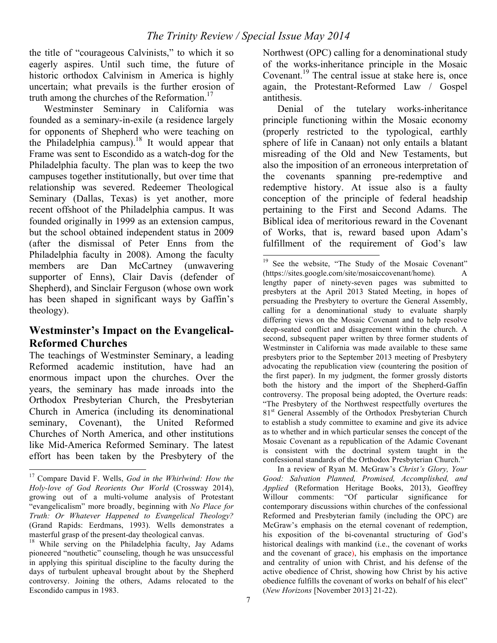the title of "courageous Calvinists," to which it so eagerly aspires. Until such time, the future of historic orthodox Calvinism in America is highly uncertain; what prevails is the further erosion of truth among the churches of the Reformation.<sup>17</sup>

Westminster Seminary in California was founded as a seminary-in-exile (a residence largely for opponents of Shepherd who were teaching on the Philadelphia campus).<sup>18</sup> It would appear that Frame was sent to Escondido as a watch-dog for the Philadelphia faculty. The plan was to keep the two campuses together institutionally, but over time that relationship was severed. Redeemer Theological Seminary (Dallas, Texas) is yet another, more recent offshoot of the Philadelphia campus. It was founded originally in 1999 as an extension campus, but the school obtained independent status in 2009 (after the dismissal of Peter Enns from the Philadelphia faculty in 2008). Among the faculty members are Dan McCartney (unwavering supporter of Enns), Clair Davis (defender of Shepherd), and Sinclair Ferguson (whose own work has been shaped in significant ways by Gaffin's theology).

### **Westminster's Impact on the Evangelical-Reformed Churches**

The teachings of Westminster Seminary, a leading Reformed academic institution, have had an enormous impact upon the churches. Over the years, the seminary has made inroads into the Orthodox Presbyterian Church, the Presbyterian Church in America (including its denominational seminary, Covenant), the United Reformed Churches of North America, and other institutions like Mid-America Reformed Seminary. The latest effort has been taken by the Presbytery of the

Northwest (OPC) calling for a denominational study of the works-inheritance principle in the Mosaic Covenant.<sup>19</sup> The central issue at stake here is, once again, the Protestant-Reformed Law / Gospel antithesis.

Denial of the tutelary works-inheritance principle functioning within the Mosaic economy (properly restricted to the typological, earthly sphere of life in Canaan) not only entails a blatant misreading of the Old and New Testaments, but also the imposition of an erroneous interpretation of the covenants spanning pre-redemptive and redemptive history. At issue also is a faulty conception of the principle of federal headship pertaining to the First and Second Adams. The Biblical idea of meritorious reward in the Covenant of Works, that is, reward based upon Adam's fulfillment of the requirement of God's law

In a review of Ryan M. McGraw's *Christ's Glory, Your Good: Salvation Planned, Promised, Accomplished, and Applied* (Reformation Heritage Books, 2013), Geoffrey Willour comments: "Of particular significance for contemporary discussions within churches of the confessional Reformed and Presbyterian family (including the OPC) are McGraw's emphasis on the eternal covenant of redemption, his exposition of the bi-covenantal structuring of God's historical dealings with mankind (i.e., the covenant of works and the covenant of grace), his emphasis on the importance and centrality of union with Christ, and his defense of the active obedience of Christ, showing how Christ by his active obedience fulfills the covenant of works on behalf of his elect" (*New Horizons* [November 2013] 21-22).

 <sup>17</sup> Compare David F. Wells, *God in the Whirlwind: How the Holy-love of God Reorients Our World* (Crossway 2014), growing out of a multi-volume analysis of Protestant "evangelicalism" more broadly, beginning with *No Place for Truth: Or Whatever Happened to Evangelical Theology?*  (Grand Rapids: Eerdmans, 1993). Wells demonstrates a masterful grasp of the present-day theological canvas.<br><sup>18</sup> While serving on the Philadelphia faculty, Jay Adams

pioneered "nouthetic" counseling, though he was unsuccessful in applying this spiritual discipline to the faculty during the days of turbulent upheaval brought about by the Shepherd controversy. Joining the others, Adams relocated to the Escondido campus in 1983.

<sup>&</sup>lt;sup>19</sup> See the website, "The Study of the Mosaic Covenant" (https://sites.google.com/site/mosaiccovenant/home)*.* A lengthy paper of ninety-seven pages was submitted to presbyters at the April 2013 Stated Meeting, in hopes of persuading the Presbytery to overture the General Assembly, calling for a denominational study to evaluate sharply differing views on the Mosaic Covenant and to help resolve deep-seated conflict and disagreement within the church. A second, subsequent paper written by three former students of Westminster in California was made available to these same presbyters prior to the September 2013 meeting of Presbytery advocating the republication view (countering the position of the first paper). In my judgment, the former grossly distorts both the history and the import of the Shepherd-Gaffin controversy. The proposal being adopted, the Overture reads: "The Presbytery of the Northwest respectfully overtures the 81<sup>st</sup> General Assembly of the Orthodox Presbyterian Church to establish a study committee to examine and give its advice as to whether and in which particular senses the concept of the Mosaic Covenant as a republication of the Adamic Covenant is consistent with the doctrinal system taught in the confessional standards of the Orthodox Presbyterian Church."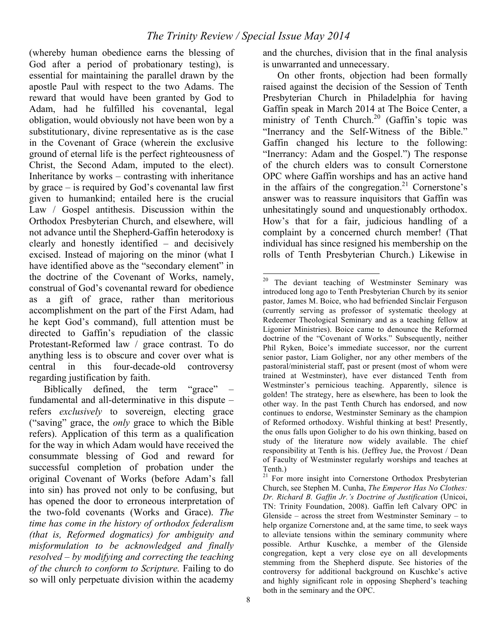(whereby human obedience earns the blessing of God after a period of probationary testing), is essential for maintaining the parallel drawn by the apostle Paul with respect to the two Adams. The reward that would have been granted by God to Adam, had he fulfilled his covenantal, legal obligation, would obviously not have been won by a substitutionary, divine representative as is the case in the Covenant of Grace (wherein the exclusive ground of eternal life is the perfect righteousness of Christ, the Second Adam, imputed to the elect). Inheritance by works – contrasting with inheritance by grace – is required by God's covenantal law first given to humankind; entailed here is the crucial Law / Gospel antithesis. Discussion within the Orthodox Presbyterian Church, and elsewhere, will not advance until the Shepherd-Gaffin heterodoxy is clearly and honestly identified – and decisively excised. Instead of majoring on the minor (what I have identified above as the "secondary element" in the doctrine of the Covenant of Works, namely, construal of God's covenantal reward for obedience as a gift of grace, rather than meritorious accomplishment on the part of the First Adam, had he kept God's command), full attention must be directed to Gaffin's repudiation of the classic Protestant-Reformed law / grace contrast. To do anything less is to obscure and cover over what is central in this four-decade-old controversy regarding justification by faith.

Biblically defined, the term "grace" – fundamental and all-determinative in this dispute – refers *exclusively* to sovereign, electing grace ("saving" grace, the *only* grace to which the Bible refers). Application of this term as a qualification for the way in which Adam would have received the consummate blessing of God and reward for successful completion of probation under the original Covenant of Works (before Adam's fall into sin) has proved not only to be confusing, but has opened the door to erroneous interpretation of the two-fold covenants (Works and Grace). *The time has come in the history of orthodox federalism (that is, Reformed dogmatics) for ambiguity and misformulation to be acknowledged and finally resolved – by modifying and correcting the teaching of the church to conform to Scripture.* Failing to do so will only perpetuate division within the academy

and the churches, division that in the final analysis is unwarranted and unnecessary.

On other fronts, objection had been formally raised against the decision of the Session of Tenth Presbyterian Church in Philadelphia for having Gaffin speak in March 2014 at The Boice Center, a ministry of Tenth Church.<sup>20</sup> (Gaffin's topic was "Inerrancy and the Self-Witness of the Bible." Gaffin changed his lecture to the following: "Inerrancy: Adam and the Gospel.") The response of the church elders was to consult Cornerstone OPC where Gaffin worships and has an active hand in the affairs of the congregation.<sup>21</sup> Cornerstone's answer was to reassure inquisitors that Gaffin was unhesitatingly sound and unquestionably orthodox. How's that for a fair, judicious handling of a complaint by a concerned church member! (That individual has since resigned his membership on the rolls of Tenth Presbyterian Church.) Likewise in

 <sup>20</sup> The deviant teaching of Westminster Seminary was introduced long ago to Tenth Presbyterian Church by its senior pastor, James M. Boice, who had befriended Sinclair Ferguson (currently serving as professor of systematic theology at Redeemer Theological Seminary and as a teaching fellow at Ligonier Ministries). Boice came to denounce the Reformed doctrine of the "Covenant of Works." Subsequently, neither Phil Ryken, Boice's immediate successor, nor the current senior pastor, Liam Goligher, nor any other members of the pastoral/ministerial staff, past or present (most of whom were trained at Westminster), have ever distanced Tenth from Westminster's pernicious teaching. Apparently, silence is golden! The strategy, here as elsewhere, has been to look the other way. In the past Tenth Church has endorsed, and now continues to endorse, Westminster Seminary as the champion of Reformed orthodoxy. Wishful thinking at best! Presently, the onus falls upon Goligher to do his own thinking, based on study of the literature now widely available. The chief responsibility at Tenth is his. (Jeffrey Jue, the Provost / Dean of Faculty of Westminster regularly worships and teaches at Tenth.)

<sup>&</sup>lt;sup>21</sup> For more insight into Cornerstone Orthodox Presbyterian Church, see Stephen M. Cunha, *The Emperor Has No Clothes: Dr. Richard B. Gaffin Jr.'s Doctrine of Justification* (Unicoi, TN: Trinity Foundation, 2008). Gaffin left Calvary OPC in Glenside – across the street from Westminster Seminary – to help organize Cornerstone and, at the same time, to seek ways to alleviate tensions within the seminary community where possible. Arthur Kuschke, a member of the Glenside congregation, kept a very close eye on all developments stemming from the Shepherd dispute. See histories of the controversy for additional background on Kuschke's active and highly significant role in opposing Shepherd's teaching both in the seminary and the OPC.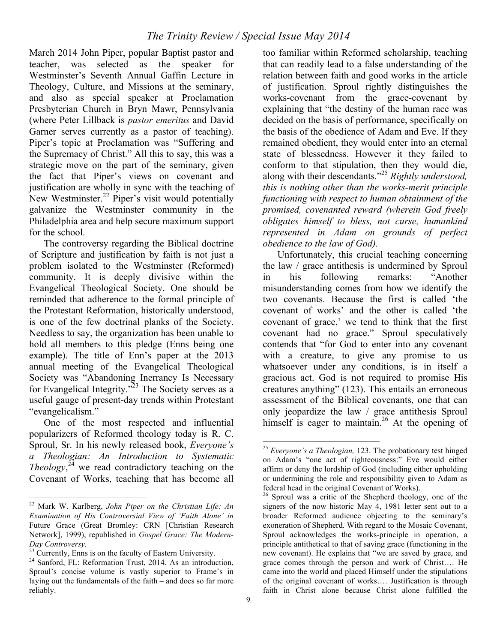March 2014 John Piper, popular Baptist pastor and teacher, was selected as the speaker for Westminster's Seventh Annual Gaffin Lecture in Theology, Culture, and Missions at the seminary, and also as special speaker at Proclamation Presbyterian Church in Bryn Mawr, Pennsylvania (where Peter Lillback is *pastor emeritus* and David Garner serves currently as a pastor of teaching). Piper's topic at Proclamation was "Suffering and the Supremacy of Christ." All this to say, this was a strategic move on the part of the seminary, given the fact that Piper's views on covenant and justification are wholly in sync with the teaching of New Westminster. $^{22}$  Piper's visit would potentially galvanize the Westminster community in the Philadelphia area and help secure maximum support for the school.

The controversy regarding the Biblical doctrine of Scripture and justification by faith is not just a problem isolated to the Westminster (Reformed) community. It is deeply divisive within the Evangelical Theological Society. One should be reminded that adherence to the formal principle of the Protestant Reformation, historically understood, is one of the few doctrinal planks of the Society. Needless to say, the organization has been unable to hold all members to this pledge (Enns being one example). The title of Enn's paper at the 2013 annual meeting of the Evangelical Theological Society was "Abandoning Inerrancy Is Necessary for Evangelical Integrity."23 The Society serves as a useful gauge of present-day trends within Protestant "evangelicalism."

One of the most respected and influential popularizers of Reformed theology today is R. C. Sproul, Sr. In his newly released book, *Everyone's a Theologian: An Introduction to Systematic Theology*, $^{24}$  we read contradictory teaching on the Covenant of Works, teaching that has become all

too familiar within Reformed scholarship, teaching that can readily lead to a false understanding of the relation between faith and good works in the article of justification. Sproul rightly distinguishes the works-covenant from the grace-covenant by explaining that "the destiny of the human race was decided on the basis of performance, specifically on the basis of the obedience of Adam and Eve. If they remained obedient, they would enter into an eternal state of blessedness. However it they failed to conform to that stipulation, then they would die, along with their descendants."<sup>25</sup> *Rightly understood, this is nothing other than the works-merit principle functioning with respect to human obtainment of the promised, covenanted reward (wherein God freely obligates himself to bless, not curse, humankind represented in Adam on grounds of perfect obedience to the law of God).* 

Unfortunately, this crucial teaching concerning the law / grace antithesis is undermined by Sproul in his following remarks: "Another misunderstanding comes from how we identify the two covenants. Because the first is called 'the covenant of works' and the other is called 'the covenant of grace,' we tend to think that the first covenant had no grace." Sproul speculatively contends that "for God to enter into any covenant with a creature, to give any promise to us whatsoever under any conditions, is in itself a gracious act. God is not required to promise His creatures anything" (123). This entails an erroneous assessment of the Biblical covenants, one that can only jeopardize the law / grace antithesis Sproul himself is eager to maintain.<sup>26</sup> At the opening of

 <sup>22</sup> Mark W. Karlberg, *John Piper on the Christian Life: An Examination of His Controversial View of 'Faith Alone' in*  Future Grace (Great Bromley: CRN [Christian Research Network], 1999), republished in *Gospel Grace: The Modern-Day Controversy.*<br><sup>23</sup> Currently, Enns is on the faculty of Eastern University.

 $24$  Sanford, FL: Reformation Trust, 2014. As an introduction, Sproul's concise volume is vastly superior to Frame's in laying out the fundamentals of the faith – and does so far more reliably.

 <sup>25</sup> *Everyone's a Theologian,* 123. The probationary test hinged on Adam's "one act of righteousness:" Eve would either affirm or deny the lordship of God (including either upholding or undermining the role and responsibility given to Adam as federal head in the original Covenant of Works).

 $26$  Sproul was a critic of the Shepherd theology, one of the signers of the now historic May 4, 1981 letter sent out to a broader Reformed audience objecting to the seminary's exoneration of Shepherd. With regard to the Mosaic Covenant, Sproul acknowledges the works-principle in operation, a principle antithetical to that of saving grace (functioning in the new covenant). He explains that "we are saved by grace, and grace comes through the person and work of Christ…. He came into the world and placed Himself under the stipulations of the original covenant of works…. Justification is through faith in Christ alone because Christ alone fulfilled the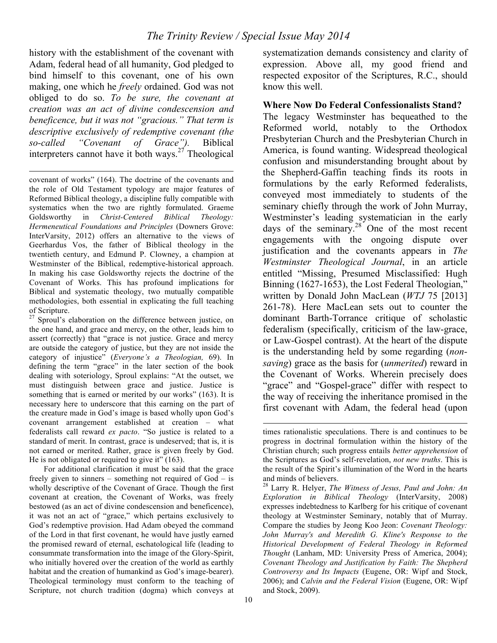history with the establishment of the covenant with Adam, federal head of all humanity, God pledged to bind himself to this covenant, one of his own making, one which he *freely* ordained. God was not obliged to do so. *To be sure, the covenant at creation was an act of divine condescension and beneficence, but it was not "gracious." That term is descriptive exclusively of redemptive covenant (the so-called "Covenant of Grace").* Biblical interpreters cannot have it both ways.<sup>27</sup> Theological

 $\overline{a}$ covenant of works" (164). The doctrine of the covenants and the role of Old Testament typology are major features of Reformed Biblical theology, a discipline fully compatible with systematics when the two are rightly formulated. Graeme Goldsworthy in *Christ-Centered Biblical Theology: Hermeneutical Foundations and Principles* (Downers Grove: InterVarsity, 2012) offers an alternative to the views of Geerhardus Vos, the father of Biblical theology in the twentieth century, and Edmund P. Clowney, a champion at Westminster of the Biblical, redemptive-historical approach. In making his case Goldsworthy rejects the doctrine of the Covenant of Works. This has profound implications for Biblical and systematic theology, two mutually compatible methodologies, both essential in explicating the full teaching of Scripture.

<sup>27</sup> Sproul's elaboration on the difference between justice, on the one hand, and grace and mercy, on the other, leads him to assert (correctly) that "grace is not justice. Grace and mercy are outside the category of justice, but they are not inside the category of injustice" (*Everyone's a Theologian,* 69). In defining the term "grace" in the later section of the book dealing with soteriology, Sproul explains: "At the outset, we must distinguish between grace and justice. Justice is something that is earned or merited by our works" (163). It is necessary here to underscore that this earning on the part of the creature made in God's image is based wholly upon God's covenant arrangement established at creation – what federalists call reward *ex pacto*. "So justice is related to a standard of merit. In contrast, grace is undeserved; that is, it is not earned or merited. Rather, grace is given freely by God. He is not obligated or required to give it" (163).

For additional clarification it must be said that the grace freely given to sinners – something not required of God – is wholly descriptive of the Covenant of Grace. Though the first covenant at creation, the Covenant of Works, was freely bestowed (as an act of divine condescension and beneficence), it was not an act of "grace," which pertains exclusively to God's redemptive provision. Had Adam obeyed the command of the Lord in that first covenant, he would have justly earned the promised reward of eternal, eschatological life (leading to consummate transformation into the image of the Glory-Spirit, who initially hovered over the creation of the world as earthly habitat and the creation of humankind as God's image-bearer). Theological terminology must conform to the teaching of Scripture, not church tradition (dogma) which conveys at

systematization demands consistency and clarity of expression. Above all, my good friend and respected expositor of the Scriptures, R.C., should know this well.

**Where Now Do Federal Confessionalists Stand?**

The legacy Westminster has bequeathed to the Reformed world, notably to the Orthodox Presbyterian Church and the Presbyterian Church in America, is found wanting. Widespread theological confusion and misunderstanding brought about by the Shepherd-Gaffin teaching finds its roots in formulations by the early Reformed federalists, conveyed most immediately to students of the seminary chiefly through the work of John Murray, Westminster's leading systematician in the early days of the seminary.<sup>28</sup> One of the most recent engagements with the ongoing dispute over justification and the covenants appears in *The Westminster Theological Journal*, in an article entitled "Missing, Presumed Misclassified: Hugh Binning (1627-1653), the Lost Federal Theologian," written by Donald John MacLean (*WTJ* 75 [2013] 261-78). Here MacLean sets out to counter the dominant Barth-Torrance critique of scholastic federalism (specifically, criticism of the law-grace, or Law-Gospel contrast). At the heart of the dispute is the understanding held by some regarding (*nonsaving*) grace as the basis for (*unmerited*) reward in the Covenant of Works. Wherein precisely does "grace" and "Gospel-grace" differ with respect to the way of receiving the inheritance promised in the first covenant with Adam, the federal head (upon

 $\overline{a}$ 

times rationalistic speculations. There is and continues to be progress in doctrinal formulation within the history of the Christian church; such progress entails *better apprehension* of the Scriptures as God's self-revelation, *not new truths*. This is the result of the Spirit's illumination of the Word in the hearts and minds of believers.

<sup>28</sup> Larry R. Helyer, *The Witness of Jesus, Paul and John: An Exploration in Biblical Theology* (InterVarsity, 2008) expresses indebtedness to Karlberg for his critique of covenant theology at Westminster Seminary, notably that of Murray. Compare the studies by Jeong Koo Jeon: *Covenant Theology: John Murray's and Meredith G. Kline's Response to the Historical Development of Federal Theology in Reformed Thought* (Lanham, MD: University Press of America, 2004); *Covenant Theology and Justification by Faith: The Shepherd Controversy and Its Impacts* (Eugene, OR: Wipf and Stock, 2006); and *Calvin and the Federal Vision* (Eugene, OR: Wipf and Stock, 2009).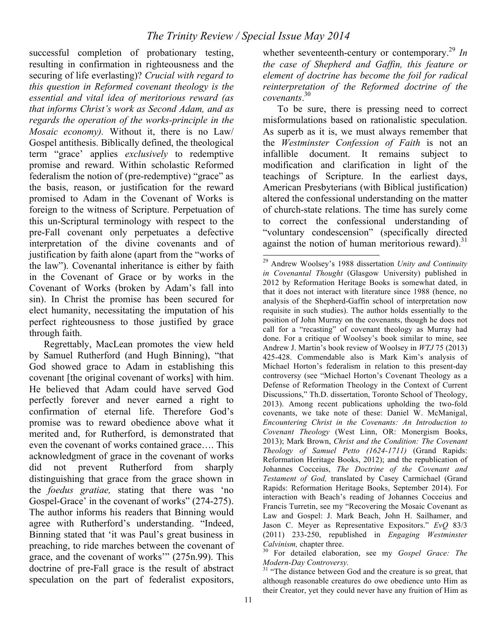successful completion of probationary testing, resulting in confirmation in righteousness and the securing of life everlasting)? *Crucial with regard to this question in Reformed covenant theology is the essential and vital idea of meritorious reward (as that informs Christ's work as Second Adam, and as regards the operation of the works-principle in the Mosaic economy).* Without it, there is no Law/ Gospel antithesis. Biblically defined, the theological term "grace' applies *exclusively* to redemptive promise and reward. Within scholastic Reformed federalism the notion of (pre-redemptive) "grace" as the basis, reason, or justification for the reward promised to Adam in the Covenant of Works is foreign to the witness of Scripture. Perpetuation of this un-Scriptural terminology with respect to the pre-Fall covenant only perpetuates a defective interpretation of the divine covenants and of justification by faith alone (apart from the "works of the law"). Covenantal inheritance is either by faith in the Covenant of Grace or by works in the Covenant of Works (broken by Adam's fall into sin). In Christ the promise has been secured for elect humanity, necessitating the imputation of his perfect righteousness to those justified by grace through faith.

Regrettably, MacLean promotes the view held by Samuel Rutherford (and Hugh Binning), "that God showed grace to Adam in establishing this covenant [the original covenant of works] with him. He believed that Adam could have served God perfectly forever and never earned a right to confirmation of eternal life. Therefore God's promise was to reward obedience above what it merited and, for Rutherford, is demonstrated that even the covenant of works contained grace…. This acknowledgment of grace in the covenant of works did not prevent Rutherford from sharply distinguishing that grace from the grace shown in the *foedus gratiae,* stating that there was 'no Gospel-Grace' in the covenant of works" (274-275). The author informs his readers that Binning would agree with Rutherford's understanding. "Indeed, Binning stated that 'it was Paul's great business in preaching, to ride marches between the covenant of grace, and the covenant of works'" (275n.99). This doctrine of pre-Fall grace is the result of abstract speculation on the part of federalist expositors,

whether seventeenth-century or contemporary.<sup>29</sup> *In the case of Shepherd and Gaffin, this feature or element of doctrine has become the foil for radical reinterpretation of the Reformed doctrine of the covenants*. 30

To be sure, there is pressing need to correct misformulations based on rationalistic speculation. As superb as it is, we must always remember that the *Westminster Confession of Faith* is not an infallible document. It remains subject to modification and clarification in light of the teachings of Scripture. In the earliest days, American Presbyterians (with Biblical justification) altered the confessional understanding on the matter of church-state relations. The time has surely come to correct the confessional understanding of "voluntary condescension" (specifically directed against the notion of human meritorious reward). $31$ 

 <sup>29</sup> Andrew Woolsey's 1988 dissertation *Unity and Continuity in Covenantal Thought* (Glasgow University) published in 2012 by Reformation Heritage Books is somewhat dated, in that it does not interact with literature since 1988 (hence, no analysis of the Shepherd-Gaffin school of interpretation now requisite in such studies). The author holds essentially to the position of John Murray on the covenants, though he does not call for a "recasting" of covenant theology as Murray had done. For a critique of Woolsey's book similar to mine, see Andrew J. Martin's book review of Woolsey in *WTJ* 75 (2013) 425-428. Commendable also is Mark Kim's analysis of Michael Horton's federalism in relation to this present-day controversy (see "Michael Horton's Covenant Theology as a Defense of Reformation Theology in the Context of Current Discussions," Th.D. dissertation, Toronto School of Theology, 2013). Among recent publications upholding the two-fold covenants, we take note of these: Daniel W. McManigal, *Encountering Christ in the Covenants: An Introduction to Covenant Theology* (West Linn, OR: Monergism Books, 2013); Mark Brown, *Christ and the Condition: The Covenant Theology of Samuel Petto (1624-1711)* (Grand Rapids: Reformation Heritage Books, 2012); and the republication of Johannes Cocceius, *The Doctrine of the Covenant and Testament of God,* translated by Casey Carmichael (Grand Rapids: Reformation Heritage Books, September 2014). For interaction with Beach's reading of Johannes Cocceius and Francis Turretin, see my "Recovering the Mosaic Covenant as Law and Gospel: J. Mark Beach, John H. Sailhamer, and Jason C. Meyer as Representative Expositors." *EvQ* 83/3 (2011) 233-250, republished in *Engaging Westminster* 

*Calvinism,* chapter three.<br><sup>30</sup> For detailed elaboration, see my *Gospel Grace: The Modern-Day Controversy*.

<sup>&</sup>lt;sup>31</sup> "The distance between God and the creature is so great, that although reasonable creatures do owe obedience unto Him as their Creator, yet they could never have any fruition of Him as